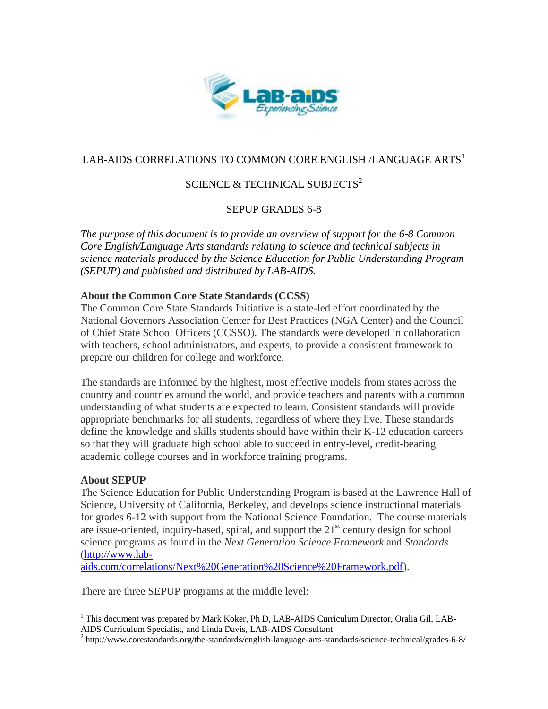

## LAB-AIDS CORRELATIONS TO COMMON CORE ENGLISH /LANGUAGE ARTS<sup>1</sup>

# SCIENCE & TECHNICAL SUBJECTS<sup>2</sup>

### SEPUP GRADES 6-8

*The purpose of this document is to provide an overview of support for the 6-8 Common Core English/Language Arts standards relating to science and technical subjects in science materials produced by the Science Education for Public Understanding Program (SEPUP) and published and distributed by LAB-AIDS.*

#### **About the Common Core State Standards (CCSS)**

The Common Core State Standards Initiative is a state-led effort coordinated by the National Governors Association Center for Best Practices (NGA Center) and the Council of Chief State School Officers (CCSSO). The standards were developed in collaboration with teachers, school administrators, and experts, to provide a consistent framework to prepare our children for college and workforce.

The standards are informed by the highest, most effective models from states across the country and countries around the world, and provide teachers and parents with a common understanding of what students are expected to learn. Consistent standards will provide appropriate benchmarks for all students, regardless of where they live. These standards define the knowledge and skills students should have within their K-12 education careers so that they will graduate high school able to succeed in entry-level, credit-bearing academic college courses and in workforce training programs.

#### **About SEPUP**

 $\overline{a}$ 

The Science Education for Public Understanding Program is based at the Lawrence Hall of Science, University of California, Berkeley, and develops science instructional materials for grades 6-12 with support from the National Science Foundation. The course materials are issue-oriented, inquiry-based, spiral, and support the  $21<sup>st</sup>$  century design for school science programs as found in the *Next Generation Science Framework* and *Standards* [\(http://www.lab-](http://www.lab-aids.com/correlations/Next%20Generation%20Science%20Framework.pdf)

[aids.com/correlations/Next%20Generation%20Science%20Framework.pdf\)](http://www.lab-aids.com/correlations/Next%20Generation%20Science%20Framework.pdf).

There are three SEPUP programs at the middle level:

<sup>&</sup>lt;sup>1</sup> This document was prepared by Mark Koker, Ph D, LAB-AIDS Curriculum Director, Oralia Gil, LAB-AIDS Curriculum Specialist, and Linda Davis, LAB-AIDS Consultant

<sup>&</sup>lt;sup>2</sup> http://www.corestandards.org/the-standards/english-language-arts-standards/science-technical/grades-6-8/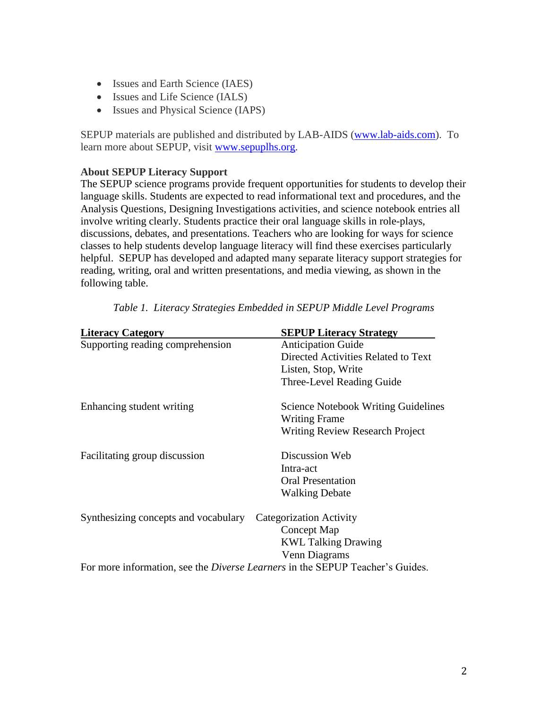- Issues and Earth Science (IAES)
- Issues and Life Science (IALS)
- Issues and Physical Science (IAPS)

SEPUP materials are published and distributed by LAB-AIDS [\(www.lab-aids.com\)](http://www.lab-aids.com/). To learn more about SEPUP, visit [www.sepuplhs.org.](http://www.sepuplhs.org/)

#### **About SEPUP Literacy Support**

The SEPUP science programs provide frequent opportunities for students to develop their language skills. Students are expected to read informational text and procedures, and the Analysis Questions, Designing Investigations activities, and science notebook entries all involve writing clearly. Students practice their oral language skills in role-plays, discussions, debates, and presentations. Teachers who are looking for ways for science classes to help students develop language literacy will find these exercises particularly helpful. SEPUP has developed and adapted many separate literacy support strategies for reading, writing, oral and written presentations, and media viewing, as shown in the following table.

| <b>Literacy Category</b>                                                             | <b>SEPUP Literacy Strategy</b>             |
|--------------------------------------------------------------------------------------|--------------------------------------------|
| Supporting reading comprehension                                                     | <b>Anticipation Guide</b>                  |
|                                                                                      | Directed Activities Related to Text        |
|                                                                                      | Listen, Stop, Write                        |
|                                                                                      | Three-Level Reading Guide                  |
| Enhancing student writing                                                            | <b>Science Notebook Writing Guidelines</b> |
|                                                                                      | <b>Writing Frame</b>                       |
|                                                                                      | <b>Writing Review Research Project</b>     |
| Facilitating group discussion                                                        | Discussion Web                             |
|                                                                                      | Intra-act                                  |
|                                                                                      | <b>Oral Presentation</b>                   |
|                                                                                      | <b>Walking Debate</b>                      |
| Synthesizing concepts and vocabulary                                                 | <b>Categorization Activity</b>             |
|                                                                                      | Concept Map                                |
|                                                                                      | <b>KWL Talking Drawing</b>                 |
|                                                                                      | Venn Diagrams                              |
| For more information, see the <i>Diverse Learners</i> in the SEPUP Teacher's Guides. |                                            |

*Table 1. Literacy Strategies Embedded in SEPUP Middle Level Programs*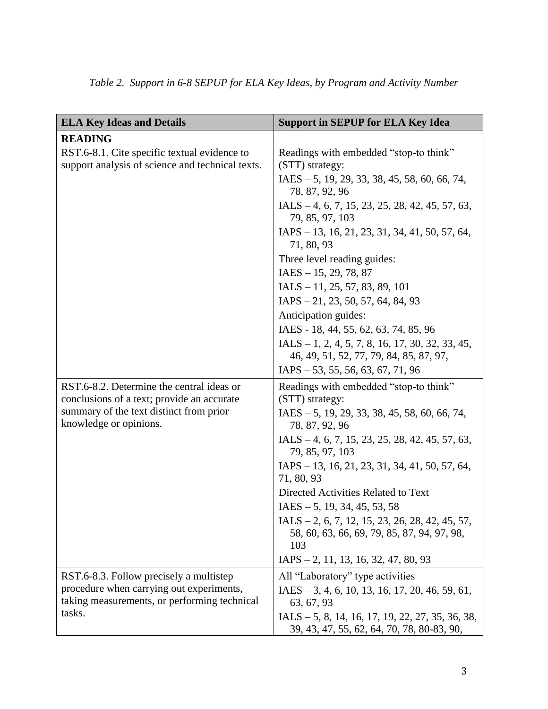| <b>ELA Key Ideas and Details</b>                                                                 | <b>Support in SEPUP for ELA Key Idea</b>                                                         |
|--------------------------------------------------------------------------------------------------|--------------------------------------------------------------------------------------------------|
| <b>READING</b>                                                                                   |                                                                                                  |
| RST.6-8.1. Cite specific textual evidence to<br>support analysis of science and technical texts. | Readings with embedded "stop-to think"<br>(STT) strategy:                                        |
|                                                                                                  | $IAES - 5$ , 19, 29, 33, 38, 45, 58, 60, 66, 74,<br>78, 87, 92, 96                               |
|                                                                                                  | IALS $-4, 6, 7, 15, 23, 25, 28, 42, 45, 57, 63,$<br>79, 85, 97, 103                              |
|                                                                                                  | $IAPS - 13, 16, 21, 23, 31, 34, 41, 50, 57, 64,$<br>71, 80, 93                                   |
|                                                                                                  | Three level reading guides:                                                                      |
|                                                                                                  | $IAES - 15, 29, 78, 87$                                                                          |
|                                                                                                  | $IALS - 11, 25, 57, 83, 89, 101$                                                                 |
|                                                                                                  | $IAPS - 21, 23, 50, 57, 64, 84, 93$                                                              |
|                                                                                                  | Anticipation guides:                                                                             |
|                                                                                                  | IAES - 18, 44, 55, 62, 63, 74, 85, 96                                                            |
|                                                                                                  | $IALS - 1, 2, 4, 5, 7, 8, 16, 17, 30, 32, 33, 45,$<br>46, 49, 51, 52, 77, 79, 84, 85, 87, 97,    |
|                                                                                                  | $IAPS - 53, 55, 56, 63, 67, 71, 96$                                                              |
| RST.6-8.2. Determine the central ideas or<br>conclusions of a text; provide an accurate          | Readings with embedded "stop-to think"<br>(STT) strategy:                                        |
| summary of the text distinct from prior<br>knowledge or opinions.                                | IAES - 5, 19, 29, 33, 38, 45, 58, 60, 66, 74,<br>78, 87, 92, 96                                  |
|                                                                                                  | IALS $-4, 6, 7, 15, 23, 25, 28, 42, 45, 57, 63,$<br>79, 85, 97, 103                              |
|                                                                                                  | IAPS - 13, 16, 21, 23, 31, 34, 41, 50, 57, 64,<br>71, 80, 93                                     |
|                                                                                                  | Directed Activities Related to Text                                                              |
|                                                                                                  | $IAES - 5$ , 19, 34, 45, 53, 58                                                                  |
|                                                                                                  | $IALS - 2, 6, 7, 12, 15, 23, 26, 28, 42, 45, 57,$                                                |
|                                                                                                  | 58, 60, 63, 66, 69, 79, 85, 87, 94, 97, 98,<br>103                                               |
|                                                                                                  | $IAPS - 2, 11, 13, 16, 32, 47, 80, 93$                                                           |
| RST.6-8.3. Follow precisely a multistep                                                          | All "Laboratory" type activities                                                                 |
| procedure when carrying out experiments,<br>taking measurements, or performing technical         | $IAES - 3, 4, 6, 10, 13, 16, 17, 20, 46, 59, 61,$<br>63, 67, 93                                  |
| tasks.                                                                                           | IALS $-5$ , 8, 14, 16, 17, 19, 22, 27, 35, 36, 38,<br>39, 43, 47, 55, 62, 64, 70, 78, 80-83, 90, |

|  |  |  | Table 2. Support in 6-8 SEPUP for ELA Key Ideas, by Program and Activity Number |
|--|--|--|---------------------------------------------------------------------------------|
|  |  |  |                                                                                 |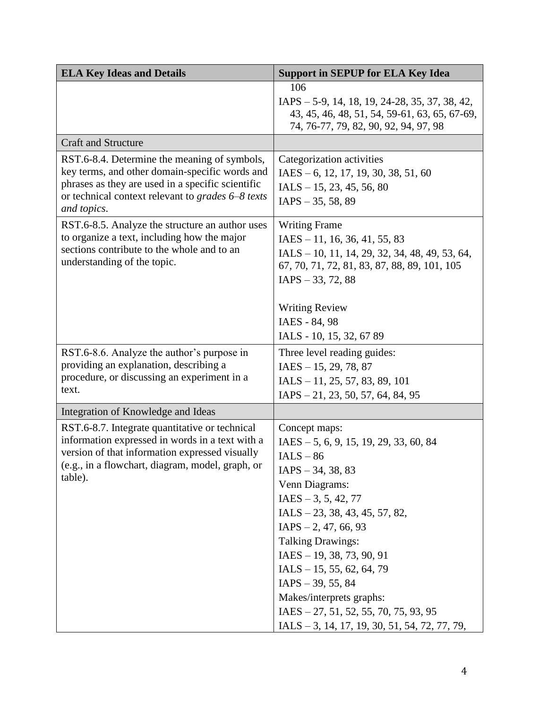| <b>ELA Key Ideas and Details</b>                                                                                                                                                                                               | <b>Support in SEPUP for ELA Key Idea</b>                                                                                                                                                                                                                                                                                                                                                                                                            |
|--------------------------------------------------------------------------------------------------------------------------------------------------------------------------------------------------------------------------------|-----------------------------------------------------------------------------------------------------------------------------------------------------------------------------------------------------------------------------------------------------------------------------------------------------------------------------------------------------------------------------------------------------------------------------------------------------|
|                                                                                                                                                                                                                                | 106<br>IAPS – 5-9, 14, 18, 19, 24-28, 35, 37, 38, 42,<br>43, 45, 46, 48, 51, 54, 59-61, 63, 65, 67-69,<br>74, 76-77, 79, 82, 90, 92, 94, 97, 98                                                                                                                                                                                                                                                                                                     |
| <b>Craft and Structure</b>                                                                                                                                                                                                     |                                                                                                                                                                                                                                                                                                                                                                                                                                                     |
| RST.6-8.4. Determine the meaning of symbols,<br>key terms, and other domain-specific words and<br>phrases as they are used in a specific scientific<br>or technical context relevant to <i>grades</i> 6–8 texts<br>and topics. | Categorization activities<br>$IAES - 6, 12, 17, 19, 30, 38, 51, 60$<br>$IALS - 15, 23, 45, 56, 80$<br>$IAPS - 35, 58, 89$                                                                                                                                                                                                                                                                                                                           |
| RST.6-8.5. Analyze the structure an author uses<br>to organize a text, including how the major<br>sections contribute to the whole and to an<br>understanding of the topic.                                                    | <b>Writing Frame</b><br>$IAES - 11, 16, 36, 41, 55, 83$<br>IALS - 10, 11, 14, 29, 32, 34, 48, 49, 53, 64,<br>67, 70, 71, 72, 81, 83, 87, 88, 89, 101, 105<br>$IAPS - 33, 72, 88$<br><b>Writing Review</b><br>IAES - 84, 98                                                                                                                                                                                                                          |
|                                                                                                                                                                                                                                | IALS - 10, 15, 32, 67 89                                                                                                                                                                                                                                                                                                                                                                                                                            |
| RST.6-8.6. Analyze the author's purpose in<br>providing an explanation, describing a<br>procedure, or discussing an experiment in a<br>text.                                                                                   | Three level reading guides:<br>$IAES - 15, 29, 78, 87$<br>$IALS - 11, 25, 57, 83, 89, 101$<br>$IAPS - 21, 23, 50, 57, 64, 84, 95$                                                                                                                                                                                                                                                                                                                   |
| Integration of Knowledge and Ideas                                                                                                                                                                                             |                                                                                                                                                                                                                                                                                                                                                                                                                                                     |
| RST.6-8.7. Integrate quantitative or technical<br>information expressed in words in a text with a<br>version of that information expressed visually<br>(e.g., in a flowchart, diagram, model, graph, or<br>table).             | Concept maps:<br>$IAES - 5, 6, 9, 15, 19, 29, 33, 60, 84$<br>$IALS - 86$<br>$IAPS - 34, 38, 83$<br>Venn Diagrams:<br>$IAES - 3, 5, 42, 77$<br>$IALS - 23, 38, 43, 45, 57, 82,$<br>$IAPS - 2, 47, 66, 93$<br><b>Talking Drawings:</b><br>$IAES - 19, 38, 73, 90, 91$<br>$IALS - 15, 55, 62, 64, 79$<br>$IAPS - 39, 55, 84$<br>Makes/interprets graphs:<br>$IAES - 27, 51, 52, 55, 70, 75, 93, 95$<br>$IALS - 3, 14, 17, 19, 30, 51, 54, 72, 77, 79,$ |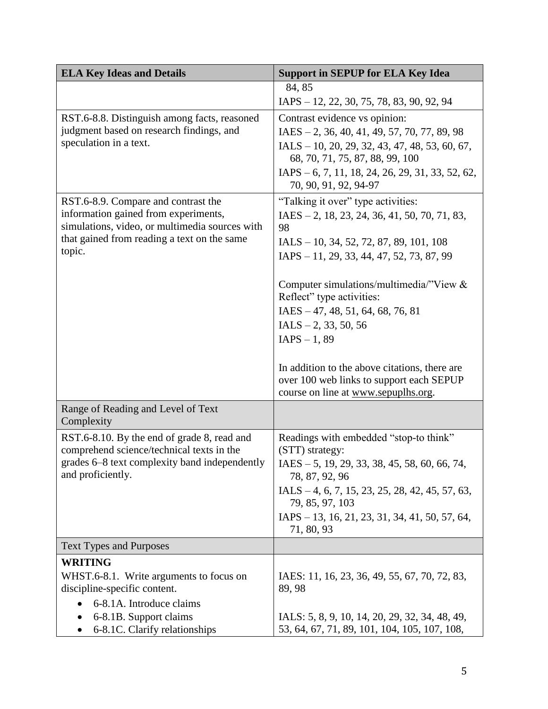| <b>ELA Key Ideas and Details</b>                                                         | <b>Support in SEPUP for ELA Key Idea</b>                                  |
|------------------------------------------------------------------------------------------|---------------------------------------------------------------------------|
|                                                                                          | 84, 85                                                                    |
|                                                                                          | IAPS - 12, 22, 30, 75, 78, 83, 90, 92, 94                                 |
| RST.6-8.8. Distinguish among facts, reasoned                                             | Contrast evidence vs opinion:                                             |
| judgment based on research findings, and                                                 | $IAES - 2, 36, 40, 41, 49, 57, 70, 77, 89, 98$                            |
| speculation in a text.                                                                   | IALS - 10, 20, 29, 32, 43, 47, 48, 53, 60, 67,                            |
|                                                                                          | 68, 70, 71, 75, 87, 88, 99, 100                                           |
|                                                                                          | IAPS - 6, 7, 11, 18, 24, 26, 29, 31, 33, 52, 62,<br>70, 90, 91, 92, 94-97 |
| RST.6-8.9. Compare and contrast the                                                      | "Talking it over" type activities:                                        |
| information gained from experiments,<br>simulations, video, or multimedia sources with   | $IAES - 2$ , 18, 23, 24, 36, 41, 50, 70, 71, 83,<br>98                    |
| that gained from reading a text on the same                                              | $IALS - 10, 34, 52, 72, 87, 89, 101, 108$                                 |
| topic.                                                                                   | $IAPS - 11, 29, 33, 44, 47, 52, 73, 87, 99$                               |
|                                                                                          | Computer simulations/multimedia/"View $\&$                                |
|                                                                                          | Reflect" type activities:                                                 |
|                                                                                          | $IAES - 47, 48, 51, 64, 68, 76, 81$                                       |
|                                                                                          | $IALS - 2, 33, 50, 56$<br>$IAPS - 1, 89$                                  |
|                                                                                          |                                                                           |
|                                                                                          | In addition to the above citations, there are                             |
|                                                                                          | over 100 web links to support each SEPUP                                  |
|                                                                                          | course on line at www.sepuplhs.org.                                       |
| Range of Reading and Level of Text<br>Complexity                                         |                                                                           |
| RST.6-8.10. By the end of grade 8, read and<br>comprehend science/technical texts in the | Readings with embedded "stop-to think"<br>(STT) strategy:                 |
| grades 6–8 text complexity band independently<br>and proficiently.                       | $IAES - 5$ , 19, 29, 33, 38, 45, 58, 60, 66, 74,<br>78, 87, 92, 96        |
|                                                                                          | IALS $-4, 6, 7, 15, 23, 25, 28, 42, 45, 57, 63,$<br>79, 85, 97, 103       |
|                                                                                          | IAPS - 13, 16, 21, 23, 31, 34, 41, 50, 57, 64,<br>71, 80, 93              |
| <b>Text Types and Purposes</b>                                                           |                                                                           |
| <b>WRITING</b>                                                                           |                                                                           |
| WHST.6-8.1. Write arguments to focus on<br>discipline-specific content.                  | IAES: 11, 16, 23, 36, 49, 55, 67, 70, 72, 83,<br>89, 98                   |
| 6-8.1A. Introduce claims                                                                 |                                                                           |
| 6-8.1B. Support claims                                                                   | IALS: 5, 8, 9, 10, 14, 20, 29, 32, 34, 48, 49,                            |
| 6-8.1C. Clarify relationships                                                            | 53, 64, 67, 71, 89, 101, 104, 105, 107, 108,                              |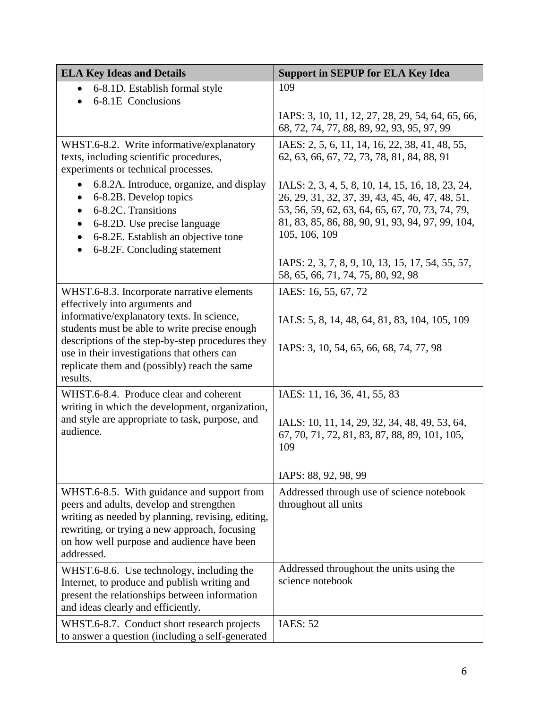| <b>ELA Key Ideas and Details</b>                                                                                                                                                                                                                         | <b>Support in SEPUP for ELA Key Idea</b>                                                                                                                                                                                    |
|----------------------------------------------------------------------------------------------------------------------------------------------------------------------------------------------------------------------------------------------------------|-----------------------------------------------------------------------------------------------------------------------------------------------------------------------------------------------------------------------------|
| 6-8.1D. Establish formal style<br>$\bullet$<br>6-8.1E Conclusions                                                                                                                                                                                        | 109                                                                                                                                                                                                                         |
|                                                                                                                                                                                                                                                          | IAPS: 3, 10, 11, 12, 27, 28, 29, 54, 64, 65, 66,<br>68, 72, 74, 77, 88, 89, 92, 93, 95, 97, 99                                                                                                                              |
| WHST.6-8.2. Write informative/explanatory<br>texts, including scientific procedures,<br>experiments or technical processes.                                                                                                                              | IAES: 2, 5, 6, 11, 14, 16, 22, 38, 41, 48, 55,<br>62, 63, 66, 67, 72, 73, 78, 81, 84, 88, 91                                                                                                                                |
| 6.8.2A. Introduce, organize, and display<br>6-8.2B. Develop topics<br>6-8.2C. Transitions<br>6-8.2D. Use precise language<br>$\bullet$<br>6-8.2E. Establish an objective tone<br>$\bullet$<br>6-8.2F. Concluding statement                               | IALS: 2, 3, 4, 5, 8, 10, 14, 15, 16, 18, 23, 24,<br>26, 29, 31, 32, 37, 39, 43, 45, 46, 47, 48, 51,<br>53, 56, 59, 62, 63, 64, 65, 67, 70, 73, 74, 79,<br>81, 83, 85, 86, 88, 90, 91, 93, 94, 97, 99, 104,<br>105, 106, 109 |
|                                                                                                                                                                                                                                                          | IAPS: 2, 3, 7, 8, 9, 10, 13, 15, 17, 54, 55, 57,<br>58, 65, 66, 71, 74, 75, 80, 92, 98                                                                                                                                      |
| WHST.6-8.3. Incorporate narrative elements<br>effectively into arguments and<br>informative/explanatory texts. In science,                                                                                                                               | IAES: 16, 55, 67, 72<br>IALS: 5, 8, 14, 48, 64, 81, 83, 104, 105, 109                                                                                                                                                       |
| students must be able to write precise enough<br>descriptions of the step-by-step procedures they<br>use in their investigations that others can<br>replicate them and (possibly) reach the same<br>results.                                             | IAPS: 3, 10, 54, 65, 66, 68, 74, 77, 98                                                                                                                                                                                     |
| WHST.6-8.4. Produce clear and coherent                                                                                                                                                                                                                   | IAES: 11, 16, 36, 41, 55, 83                                                                                                                                                                                                |
| writing in which the development, organization,<br>and style are appropriate to task, purpose, and<br>audience.                                                                                                                                          | IALS: 10, 11, 14, 29, 32, 34, 48, 49, 53, 64,<br>67, 70, 71, 72, 81, 83, 87, 88, 89, 101, 105,<br>109                                                                                                                       |
|                                                                                                                                                                                                                                                          | IAPS: 88, 92, 98, 99                                                                                                                                                                                                        |
| WHST.6-8.5. With guidance and support from<br>peers and adults, develop and strengthen<br>writing as needed by planning, revising, editing,<br>rewriting, or trying a new approach, focusing<br>on how well purpose and audience have been<br>addressed. | Addressed through use of science notebook<br>throughout all units                                                                                                                                                           |
| WHST.6-8.6. Use technology, including the<br>Internet, to produce and publish writing and<br>present the relationships between information<br>and ideas clearly and efficiently.                                                                         | Addressed throughout the units using the<br>science notebook                                                                                                                                                                |
| WHST.6-8.7. Conduct short research projects<br>to answer a question (including a self-generated                                                                                                                                                          | <b>IAES: 52</b>                                                                                                                                                                                                             |